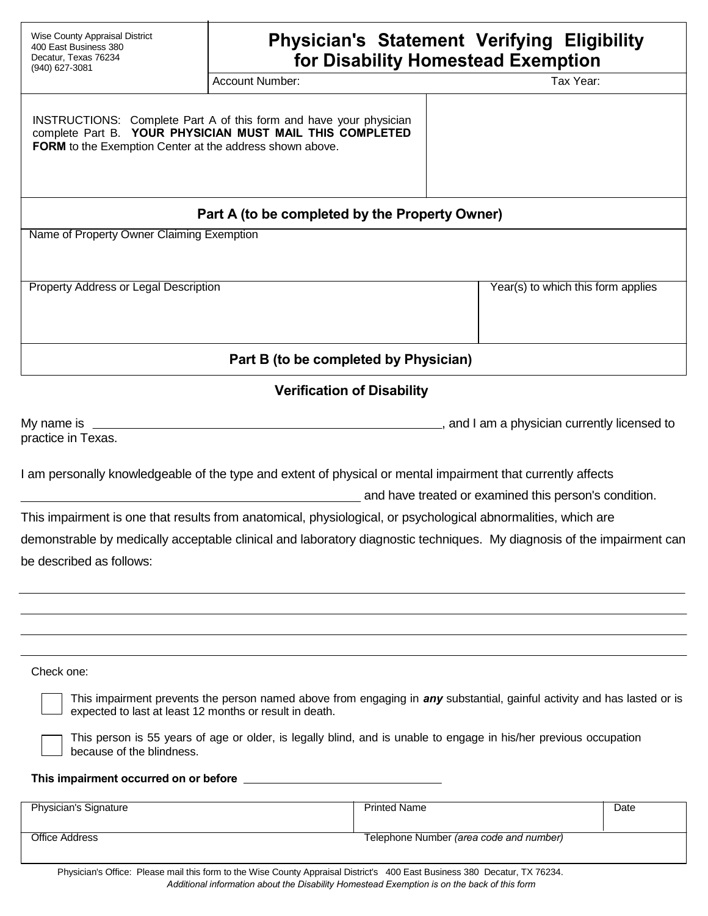| Wise County Appraisal District<br>400 East Business 380<br>Decatur, Texas 76234<br>(940) 627-3081 | <b>Physician's Statement Verifying Eligibility</b><br>for Disability Homestead Exemption                                       |                                              |  |
|---------------------------------------------------------------------------------------------------|--------------------------------------------------------------------------------------------------------------------------------|----------------------------------------------|--|
|                                                                                                   | <b>Account Number:</b>                                                                                                         | Tax Year:                                    |  |
| FORM to the Exemption Center at the address shown above.                                          | INSTRUCTIONS: Complete Part A of this form and have your physician<br>complete Part B. YOUR PHYSICIAN MUST MAIL THIS COMPLETED |                                              |  |
|                                                                                                   | Part A (to be completed by the Property Owner)                                                                                 |                                              |  |
| Name of Property Owner Claiming Exemption                                                         |                                                                                                                                |                                              |  |
| Property Address or Legal Description                                                             |                                                                                                                                | Year(s) to which this form applies           |  |
|                                                                                                   | Part B (to be completed by Physician)                                                                                          |                                              |  |
|                                                                                                   | <b>Verification of Disability</b>                                                                                              |                                              |  |
| My name is $\_\_\_\_\_\_\_\$<br>practice in Texas.                                                |                                                                                                                                | , and I am a physician currently licensed to |  |
|                                                                                                   | I am personally knowledgeable of the type and extent of physical or mental impairment that currently affects                   |                                              |  |

and have treated or examined this person's condition.

This impairment is one that results from anatomical, physiological, or psychological abnormalities, which are demonstrable by medically acceptable clinical and laboratory diagnostic techniques. My diagnosis of the impairment can be described as follows:

## Check one:

This impairment prevents the person named above from engaging in *any* substantial, gainful activity and has lasted or is expected to last at least 12 months or result in death.

This person is 55 years of age or older, is legally blind, and is unable to engage in his/her previous occupation because of the blindness.

# **This impairment occurred on or before**

| Physician's Signature | <b>Printed Name</b>                            | Date |
|-----------------------|------------------------------------------------|------|
| <b>Office Address</b> | Telephone Number <i>(area code and number)</i> |      |

Physician's Office: Please mail this form to the Wise County Appraisal District's 400 East Business 380 Decatur, TX 76234. *Additional information about the Disability Homestead Exemption is on the back of this form*